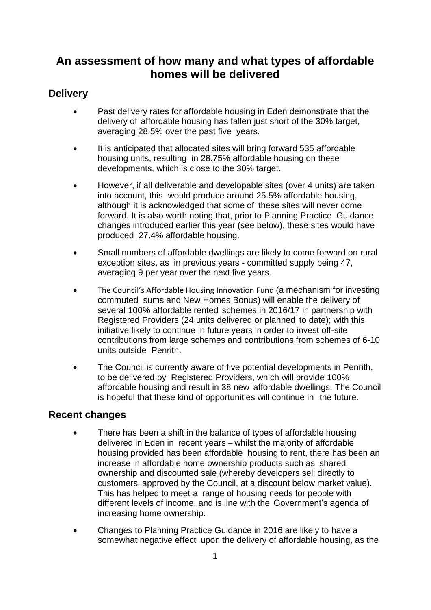## **An assessment of how many and what types of affordable homes will be delivered**

## **Delivery**

- Past delivery rates for affordable housing in Eden demonstrate that the delivery of affordable housing has fallen just short of the 30% target, averaging 28.5% over the past five years.
- It is anticipated that allocated sites will bring forward 535 affordable housing units, resulting in 28.75% affordable housing on these developments, which is close to the 30% target.
- However, if all deliverable and developable sites (over 4 units) are taken into account, this would produce around 25.5% affordable housing, although it is acknowledged that some of these sites will never come forward. It is also worth noting that, prior to Planning Practice Guidance changes introduced earlier this year (see below), these sites would have produced 27.4% affordable housing.
- Small numbers of affordable dwellings are likely to come forward on rural exception sites, as in previous years - committed supply being 47, averaging 9 per year over the next five years.
- The Council's Affordable Housing Innovation Fund (a mechanism for investing commuted sums and New Homes Bonus) will enable the delivery of several 100% affordable rented schemes in 2016/17 in partnership with Registered Providers (24 units delivered or planned to date); with this initiative likely to continue in future years in order to invest off-site contributions from large schemes and contributions from schemes of 6-10 units outside Penrith.
- The Council is currently aware of five potential developments in Penrith, to be delivered by Registered Providers, which will provide 100% affordable housing and result in 38 new affordable dwellings. The Council is hopeful that these kind of opportunities will continue in the future.

## **Recent changes**

- There has been a shift in the balance of types of affordable housing delivered in Eden in recent years – whilst the majority of affordable housing provided has been affordable housing to rent, there has been an increase in affordable home ownership products such as shared ownership and discounted sale (whereby developers sell directly to customers approved by the Council, at a discount below market value). This has helped to meet a range of housing needs for people with different levels of income, and is line with the Government's agenda of increasing home ownership.
- Changes to Planning Practice Guidance in 2016 are likely to have a somewhat negative effect upon the delivery of affordable housing, as the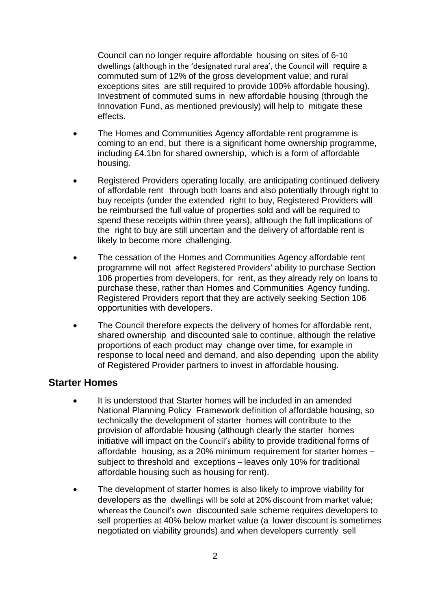Council can no longer require affordable housing on sites of 6-10 dwellings (although in the 'designated rural area', the Council will require a commuted sum of 12% of the gross development value; and rural exceptions sites are still required to provide 100% affordable housing). Investment of commuted sums in new affordable housing (through the Innovation Fund, as mentioned previously) will help to mitigate these effects.

- The Homes and Communities Agency affordable rent programme is coming to an end, but there is a significant home ownership programme, including £4.1bn for shared ownership, which is a form of affordable housing.
- Registered Providers operating locally, are anticipating continued delivery of affordable rent through both loans and also potentially through right to buy receipts (under the extended right to buy, Registered Providers will be reimbursed the full value of properties sold and will be required to spend these receipts within three years), although the full implications of the right to buy are still uncertain and the delivery of affordable rent is likely to become more challenging.
- The cessation of the Homes and Communities Agency affordable rent programme will not affect Registered Providers' ability to purchase Section 106 properties from developers, for rent, as they already rely on loans to purchase these, rather than Homes and Communities Agency funding. Registered Providers report that they are actively seeking Section 106 opportunities with developers.
- The Council therefore expects the delivery of homes for affordable rent, shared ownership and discounted sale to continue, although the relative proportions of each product may change over time, for example in response to local need and demand, and also depending upon the ability of Registered Provider partners to invest in affordable housing.

## **Starter Homes**

- It is understood that Starter homes will be included in an amended National Planning Policy Framework definition of affordable housing, so technically the development of starter homes will contribute to the provision of affordable housing (although clearly the starter homes initiative will impact on the Council's ability to provide traditional forms of affordable housing, as a 20% minimum requirement for starter homes – subject to threshold and exceptions – leaves only 10% for traditional affordable housing such as housing for rent).
- The development of starter homes is also likely to improve viability for developers as the dwellings will be sold at 20% discount from market value; whereas the Council's own discounted sale scheme requires developers to sell properties at 40% below market value (a lower discount is sometimes negotiated on viability grounds) and when developers currently sell